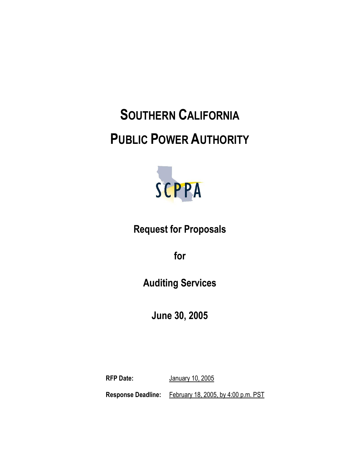# **SOUTHERN CALIFORNIA PUBLIC POWER AUTHORITY**



### **Request for Proposals**

**for**

**Auditing Services**

**June 30, 2005**

**RFP Date:** January 10, 2005 **Response Deadline:** February 18, 2005, by 4:00 p.m. PST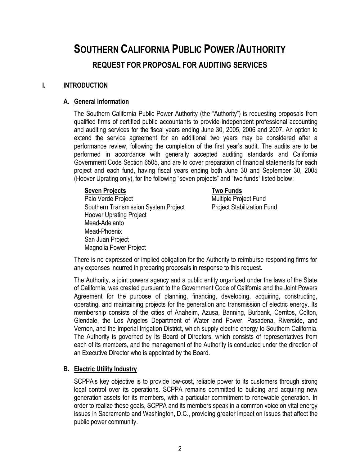## **SOUTHERN CALIFORNIA PUBLIC POWER /AUTHORITY REQUEST FOR PROPOSAL FOR AUDITING SERVICES**

#### **I. INTRODUCTION**

#### **A. General Information**

The Southern California Public Power Authority (the "Authority") is requesting proposals from qualified firms of certified public accountants to provide independent professional accounting and auditing services for the fiscal years ending June 30, 2005, 2006 and 2007. An option to extend the service agreement for an additional two years may be considered after a performance review, following the completion of the first year's audit. The audits are to be performed in accordance with generally accepted auditing standards and California Government Code Section 6505, and are to cover preparation of financial statements for each project and each fund, having fiscal years ending both June 30 and September 30, 2005 (Hoover Uprating only), for the following "seven projects" and "two funds" listed below:

#### **Seven Projects Two Funds**

Palo Verde Project **Multiple Project Fund** Southern Transmission System Project **Project Stabilization Fund** Hoover Uprating Project Mead-Adelanto Mead-Phoenix San Juan Project Magnolia Power Project

There is no expressed or implied obligation for the Authority to reimburse responding firms for any expenses incurred in preparing proposals in response to this request.

The Authority, a joint powers agency and a public entity organized under the laws of the State of California, was created pursuant to the Government Code of California and the Joint Powers Agreement for the purpose of planning, financing, developing, acquiring, constructing, operating, and maintaining projects for the generation and transmission of electric energy. Its membership consists of the cities of Anaheim, Azusa, Banning, Burbank, Cerritos, Colton, Glendale, the Los Angeles Department of Water and Power, Pasadena, Riverside, and Vernon, and the Imperial Irrigation District, which supply electric energy to Southern California. The Authority is governed by its Board of Directors, which consists of representatives from each of its members, and the management of the Authority is conducted under the direction of an Executive Director who is appointed by the Board.

#### **B. Electric Utility Industry**

SCPPA's key objective is to provide low-cost, reliable power to its customers through strong local control over its operations. SCPPA remains committed to building and acquiring new generation assets for its members, with a particular commitment to renewable generation. In order to realize these goals, SCPPA and its members speak in a common voice on vital energy issues in Sacramento and Washington, D.C., providing greater impact on issues that affect the public power community.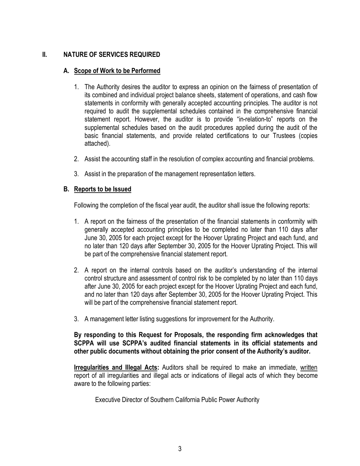#### **II. NATURE OF SERVICES REQUIRED**

#### **A. Scope of Work to be Performed**

- 1. The Authority desires the auditor to express an opinion on the fairness of presentation of its combined and individual project balance sheets, statement of operations, and cash flow statements in conformity with generally accepted accounting principles. The auditor is not required to audit the supplemental schedules contained in the comprehensive financial statement report. However, the auditor is to provide "in-relation-to" reports on the supplemental schedules based on the audit procedures applied during the audit of the basic financial statements, and provide related certifications to our Trustees (copies attached).
- 2. Assist the accounting staff in the resolution of complex accounting and financial problems.
- 3. Assist in the preparation of the management representation letters.

#### **B. Reports to be Issued**

Following the completion of the fiscal year audit, the auditor shall issue the following reports:

- 1. A report on the fairness of the presentation of the financial statements in conformity with generally accepted accounting principles to be completed no later than 110 days after June 30, 2005 for each project except for the Hoover Uprating Project and each fund, and no later than 120 days after September 30, 2005 for the Hoover Uprating Project. This will be part of the comprehensive financial statement report.
- 2. A report on the internal controls based on the auditor's understanding of the internal control structure and assessment of control risk to be completed by no later than 110 days after June 30, 2005 for each project except for the Hoover Uprating Project and each fund, and no later than 120 days after September 30, 2005 for the Hoover Uprating Project. This will be part of the comprehensive financial statement report.
- 3. A management letter listing suggestions for improvement for the Authority.

**By responding to this Request for Proposals, the responding firm acknowledges that SCPPA will use SCPPA's audited financial statements in its official statements and other public documents without obtaining the prior consent of the Authority's auditor.**

**Irregularities and Illegal Acts:** Auditors shall be required to make an immediate, written report of all irregularities and illegal acts or indications of illegal acts of which they become aware to the following parties:

Executive Director of Southern California Public Power Authority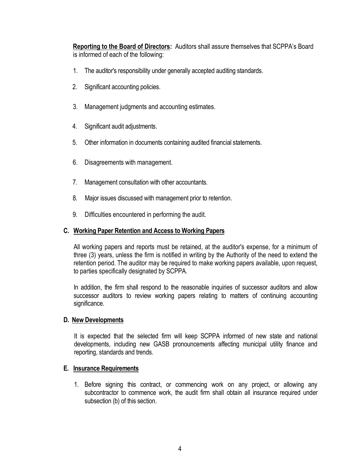**Reporting to the Board of Directors:** Auditors shall assure themselves that SCPPA's Board is informed of each of the following:

- 1. The auditor's responsibility under generally accepted auditing standards.
- 2. Significant accounting policies.
- 3. Management judgments and accounting estimates.
- 4. Significant audit adjustments.
- 5. Other information in documents containing audited financial statements.
- 6. Disagreements with management.
- 7. Management consultation with other accountants.
- 8. Major issues discussed with management prior to retention.
- 9. Difficulties encountered in performing the audit.

#### **C. Working Paper Retention and Access to Working Papers**

All working papers and reports must be retained, at the auditor's expense, for a minimum of three (3) years, unless the firm is notified in writing by the Authority of the need to extend the retention period. The auditor may be required to make working papers available, upon request, to parties specifically designated by SCPPA.

In addition, the firm shall respond to the reasonable inquiries of successor auditors and allow successor auditors to review working papers relating to matters of continuing accounting significance.

#### **D. New Developments**

It is expected that the selected firm will keep SCPPA informed of new state and national developments, including new GASB pronouncements affecting municipal utility finance and reporting, standards and trends.

#### **E. Insurance Requirements**

1. Before signing this contract, or commencing work on any project, or allowing any subcontractor to commence work, the audit firm shall obtain all insurance required under subsection (b) of this section.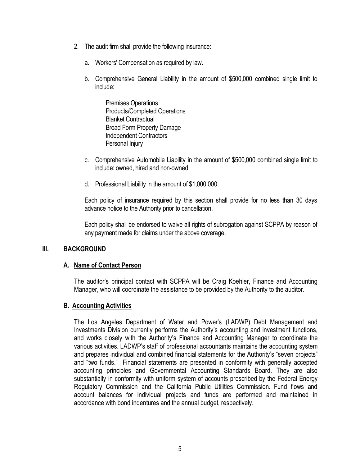- 2. The audit firm shall provide the following insurance:
	- a. Workers' Compensation as required by law.
	- b. Comprehensive General Liability in the amount of \$500,000 combined single limit to include:

Premises Operations Products/Completed Operations Blanket Contractual Broad Form Property Damage Independent Contractors Personal Injury

- c. Comprehensive Automobile Liability in the amount of \$500,000 combined single limit to include: owned, hired and non-owned.
- d. Professional Liability in the amount of \$1,000,000.

Each policy of insurance required by this section shall provide for no less than 30 days advance notice to the Authority prior to cancellation.

Each policy shall be endorsed to waive all rights of subrogation against SCPPA by reason of any payment made for claims under the above coverage.

#### **III. BACKGROUND**

#### **A. Name of Contact Person**

The auditor's principal contact with SCPPA will be Craig Koehler, Finance and Accounting Manager, who will coordinate the assistance to be provided by the Authority to the auditor.

#### **B. Accounting Activities**

The Los Angeles Department of Water and Power's (LADWP) Debt Management and Investments Division currently performs the Authority's accounting and investment functions, and works closely with the Authority's Finance and Accounting Manager to coordinate the various activities. LADWP's staff of professional accountants maintains the accounting system and prepares individual and combined financial statements for the Authority's "seven projects" and "two funds." Financial statements are presented in conformity with generally accepted accounting principles and Governmental Accounting Standards Board. They are also substantially in conformity with uniform system of accounts prescribed by the Federal Energy Regulatory Commission and the California Public Utilities Commission. Fund flows and account balances for individual projects and funds are performed and maintained in accordance with bond indentures and the annual budget, respectively.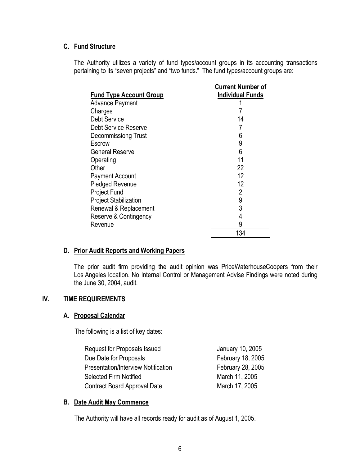#### **C. Fund Structure**

The Authority utilizes a variety of fund types/account groups in its accounting transactions pertaining to its "seven projects" and "two funds." The fund types/account groups are:

|                                | <b>Current Number of</b> |  |  |
|--------------------------------|--------------------------|--|--|
| <b>Fund Type Account Group</b> | <b>Individual Funds</b>  |  |  |
| <b>Advance Payment</b>         |                          |  |  |
| Charges                        |                          |  |  |
| <b>Debt Service</b>            | 14                       |  |  |
| <b>Debt Service Reserve</b>    |                          |  |  |
| Decommissiong Trust            | 6                        |  |  |
| Escrow                         | 9                        |  |  |
| <b>General Reserve</b>         | 6                        |  |  |
| Operating                      | 11                       |  |  |
| Other                          | 22                       |  |  |
| <b>Payment Account</b>         | 12                       |  |  |
| <b>Pledged Revenue</b>         | 12                       |  |  |
| <b>Project Fund</b>            | 2                        |  |  |
| <b>Project Stabilization</b>   | 9                        |  |  |
| Renewal & Replacement          | 3                        |  |  |
| Reserve & Contingency          | 4                        |  |  |
| Revenue                        | 9                        |  |  |
|                                | 134                      |  |  |

#### **D. Prior Audit Reports and Working Papers**

The prior audit firm providing the audit opinion was PriceWaterhouseCoopers from their Los Angeles location. No Internal Control or Management Advise Findings were noted during the June 30, 2004, audit.

#### **IV. TIME REQUIREMENTS**

#### **A. Proposal Calendar**

The following is a list of key dates:

| Request for Proposals Issued               | January 10, 2005  |
|--------------------------------------------|-------------------|
| Due Date for Proposals                     | February 18, 2005 |
| <b>Presentation/Interview Notification</b> | February 28, 2005 |
| Selected Firm Notified                     | March 11, 2005    |
| Contract Board Approval Date               | March 17, 2005    |

#### **B. Date Audit May Commence**

The Authority will have all records ready for audit as of August 1, 2005.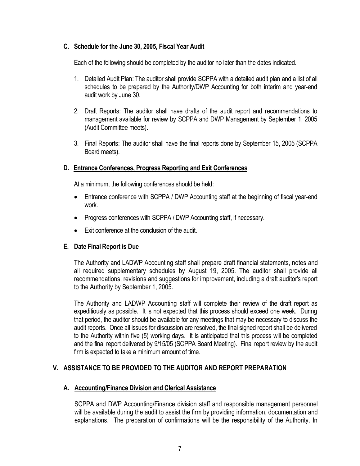#### **C. Schedule for the June 30, 2005, Fiscal Year Audit**

Each of the following should be completed by the auditor no later than the dates indicated.

- 1. Detailed Audit Plan: The auditor shall provide SCPPA with a detailed audit plan and a list of all schedules to be prepared by the Authority/DWP Accounting for both interim and year-end audit work by June 30.
- 2. Draft Reports: The auditor shall have drafts of the audit report and recommendations to management available for review by SCPPA and DWP Management by September 1, 2005 (Audit Committee meets).
- 3. Final Reports: The auditor shall have the final reports done by September 15, 2005 (SCPPA Board meets).

#### **D. Entrance Conferences, Progress Reporting and Exit Conferences**

At a minimum, the following conferences should be held:

- Entrance conference with SCPPA / DWP Accounting staff at the beginning of fiscal year-end work.
- Progress conferences with SCPPA / DWP Accounting staff, if necessary.
- Exit conference at the conclusion of the audit.

#### **E. Date Final Report is Due**

The Authority and LADWP Accounting staff shall prepare draft financial statements, notes and all required supplementary schedules by August 19, 2005. The auditor shall provide all recommendations, revisions and suggestions for improvement, including a draft auditor's report to the Authority by September 1, 2005.

The Authority and LADWP Accounting staff will complete their review of the draft report as expeditiously as possible. It is not expected that this process should exceed one week. During that period, the auditor should be available for any meetings that may be necessary to discuss the audit reports. Once all issues for discussion are resolved, the final signed report shall be delivered to the Authority within five (5) working days. It is anticipated that this process will be completed and the final report delivered by 9/15/05 (SCPPA Board Meeting). Final report review by the audit firm is expected to take a minimum amount of time.

### **V. ASSISTANCE TO BE PROVIDED TO THE AUDITOR AND REPORT PREPARATION**

#### **A. Accounting/Finance Division and Clerical Assistance**

SCPPA and DWP Accounting/Finance division staff and responsible management personnel will be available during the audit to assist the firm by providing information, documentation and explanations. The preparation of confirmations will be the responsibility of the Authority. In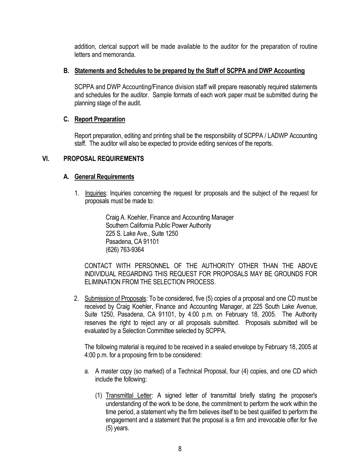addition, clerical support will be made available to the auditor for the preparation of routine letters and memoranda.

#### **B. Statements and Schedules to be prepared by the Staff of SCPPA and DWP Accounting**

SCPPA and DWP Accounting/Finance division staff will prepare reasonably required statements and schedules for the auditor. Sample formats of each work paper must be submitted during the planning stage of the audit.

#### **C. Report Preparation**

Report preparation, editing and printing shall be the responsibility of SCPPA / LADWP Accounting staff. The auditor will also be expected to provide editing services of the reports.

#### **VI. PROPOSAL REQUIREMENTS**

#### **A. General Requirements**

1. Inquiries: Inquiries concerning the request for proposals and the subject of the request for proposals must be made to:

> Craig A. Koehler, Finance and Accounting Manager Southern California Public Power Authority 225 S. Lake Ave., Suite 1250 Pasadena, CA 91101 (626) 763-9364

CONTACT WITH PERSONNEL OF THE AUTHORITY OTHER THAN THE ABOVE INDIVIDUAL REGARDING THIS REQUEST FOR PROPOSALS MAY BE GROUNDS FOR ELIMINATION FROM THE SELECTION PROCESS.

2. Submission of Proposals: To be considered, five (5) copies of a proposal and one CD must be received by Craig Koehler, Finance and Accounting Manager, at 225 South Lake Avenue, Suite 1250, Pasadena, CA 91101, by 4:00 p.m. on February 18, 2005. The Authority reserves the right to reject any or all proposals submitted. Proposals submitted will be evaluated by a Selection Committee selected by SCPPA.

The following material is required to be received in a sealed envelope by February 18, 2005 at 4:00 p.m. for a proposing firm to be considered:

- a. A master copy (so marked) of a Technical Proposal, four (4) copies, and one CD which include the following:
	- (1) Transmittal Letter: A signed letter of transmittal briefly stating the proposer's understanding of the work to be done, the commitment to perform the work within the time period, a statement why the firm believes itself to be best qualified to perform the engagement and a statement that the proposal is a firm and irrevocable offer for five (5) years.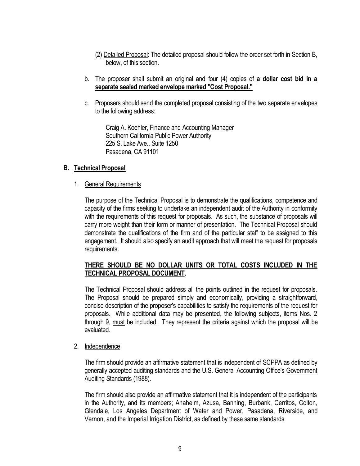- (2) Detailed Proposal: The detailed proposal should follow the order set forth in Section B, below, of this section.
- b. The proposer shall submit an original and four (4) copies of **a dollar cost bid in a separate sealed marked envelope marked "Cost Proposal."**
- c. Proposers should send the completed proposal consisting of the two separate envelopes to the following address:

Craig A. Koehler, Finance and Accounting Manager Southern California Public Power Authority 225 S. Lake Ave., Suite 1250 Pasadena, CA 91101

#### **B. Technical Proposal**

#### 1. General Requirements

The purpose of the Technical Proposal is to demonstrate the qualifications, competence and capacity of the firms seeking to undertake an independent audit of the Authority in conformity with the requirements of this request for proposals. As such, the substance of proposals will carry more weight than their form or manner of presentation. The Technical Proposal should demonstrate the qualifications of the firm and of the particular staff to be assigned to this engagement. It should also specify an audit approach that will meet the request for proposals requirements.

#### **THERE SHOULD BE NO DOLLAR UNITS OR TOTAL COSTS INCLUDED IN THE TECHNICAL PROPOSAL DOCUMENT.**

The Technical Proposal should address all the points outlined in the request for proposals. The Proposal should be prepared simply and economically, providing a straightforward, concise description of the proposer's capabilities to satisfy the requirements of the request for proposals. While additional data may be presented, the following subjects, items Nos. 2 through 9, must be included. They represent the criteria against which the proposal will be evaluated.

#### 2. Independence

The firm should provide an affirmative statement that is independent of SCPPA as defined by generally accepted auditing standards and the U.S. General Accounting Office's Government Auditing Standards (1988).

The firm should also provide an affirmative statement that it is independent of the participants in the Authority, and its members; Anaheim, Azusa, Banning, Burbank, Cerritos, Colton, Glendale, Los Angeles Department of Water and Power, Pasadena, Riverside, and Vernon, and the Imperial Irrigation District, as defined by these same standards.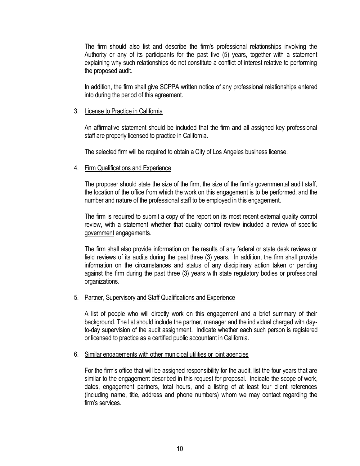The firm should also list and describe the firm's professional relationships involving the Authority or any of its participants for the past five (5) years, together with a statement explaining why such relationships do not constitute a conflict of interest relative to performing the proposed audit.

In addition, the firm shall give SCPPA written notice of any professional relationships entered into during the period of this agreement.

#### 3. License to Practice in California

An affirmative statement should be included that the firm and all assigned key professional staff are properly licensed to practice in California.

The selected firm will be required to obtain a City of Los Angeles business license.

#### 4. Firm Qualifications and Experience

The proposer should state the size of the firm, the size of the firm's governmental audit staff, the location of the office from which the work on this engagement is to be performed, and the number and nature of the professional staff to be employed in this engagement.

The firm is required to submit a copy of the report on its most recent external quality control review, with a statement whether that quality control review included a review of specific government engagements.

The firm shall also provide information on the results of any federal or state desk reviews or field reviews of its audits during the past three (3) years. In addition, the firm shall provide information on the circumstances and status of any disciplinary action taken or pending against the firm during the past three (3) years with state regulatory bodies or professional organizations.

#### 5. Partner, Supervisory and Staff Qualifications and Experience

A list of people who will directly work on this engagement and a brief summary of their background. The list should include the partner, manager and the individual charged with dayto-day supervision of the audit assignment. Indicate whether each such person is registered or licensed to practice as a certified public accountant in California.

#### 6. Similar engagements with other municipal utilities or joint agencies

For the firm's office that will be assigned responsibility for the audit, list the four years that are similar to the engagement described in this request for proposal. Indicate the scope of work, dates, engagement partners, total hours, and a listing of at least four client references (including name, title, address and phone numbers) whom we may contact regarding the firm's services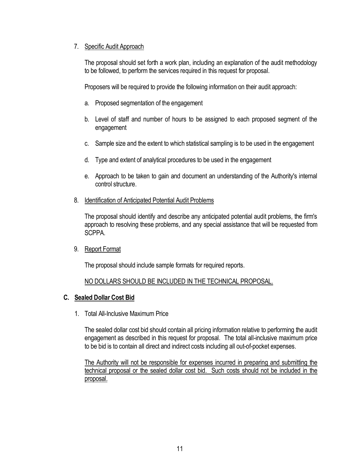#### 7. Specific Audit Approach

The proposal should set forth a work plan, including an explanation of the audit methodology to be followed, to perform the services required in this request for proposal.

Proposers will be required to provide the following information on their audit approach:

- a. Proposed segmentation of the engagement
- b. Level of staff and number of hours to be assigned to each proposed segment of the engagement
- c. Sample size and the extent to which statistical sampling is to be used in the engagement
- d. Type and extent of analytical procedures to be used in the engagement
- e. Approach to be taken to gain and document an understanding of the Authority's internal control structure.
- 8. Identification of Anticipated Potential Audit Problems

The proposal should identify and describe any anticipated potential audit problems, the firm's approach to resolving these problems, and any special assistance that will be requested from SCPPA.

9. Report Format

The proposal should include sample formats for required reports.

### NO DOLLARS SHOULD BE INCLUDED IN THE TECHNICAL PROPOSAL.

### **C. Sealed Dollar Cost Bid**

1. Total All-Inclusive Maximum Price

The sealed dollar cost bid should contain all pricing information relative to performing the audit engagement as described in this request for proposal. The total all-inclusive maximum price to be bid is to contain all direct and indirect costs including all out-of-pocket expenses.

The Authority will not be responsible for expenses incurred in preparing and submitting the technical proposal or the sealed dollar cost bid. Such costs should not be included in the proposal.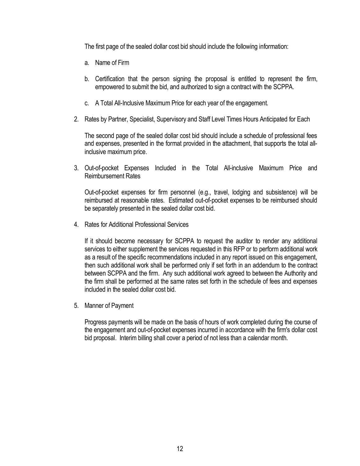The first page of the sealed dollar cost bid should include the following information:

- a. Name of Firm
- b. Certification that the person signing the proposal is entitled to represent the firm, empowered to submit the bid, and authorized to sign a contract with the SCPPA.
- c. A Total All-Inclusive Maximum Price for each year of the engagement.
- 2. Rates by Partner, Specialist, Supervisory and Staff Level Times Hours Anticipated for Each

The second page of the sealed dollar cost bid should include a schedule of professional fees and expenses, presented in the format provided in the attachment, that supports the total allinclusive maximum price.

3. Out-of-pocket Expenses Included in the Total All-inclusive Maximum Price and Reimbursement Rates

Out-of-pocket expenses for firm personnel (e.g., travel, lodging and subsistence) will be reimbursed at reasonable rates. Estimated out-of-pocket expenses to be reimbursed should be separately presented in the sealed dollar cost bid.

4. Rates for Additional Professional Services

If it should become necessary for SCPPA to request the auditor to render any additional services to either supplement the services requested in this RFP or to perform additional work as a result of the specific recommendations included in any report issued on this engagement, then such additional work shall be performed only if set forth in an addendum to the contract between SCPPA and the firm. Any such additional work agreed to between the Authority and the firm shall be performed at the same rates set forth in the schedule of fees and expenses included in the sealed dollar cost bid.

5. Manner of Payment

Progress payments will be made on the basis of hours of work completed during the course of the engagement and out-of-pocket expenses incurred in accordance with the firm's dollar cost bid proposal. Interim billing shall cover a period of not less than a calendar month.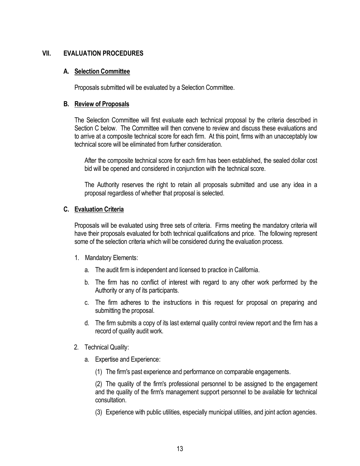#### **VII. EVALUATION PROCEDURES**

#### **A. Selection Committee**

Proposals submitted will be evaluated by a Selection Committee.

#### **B. Review of Proposals**

The Selection Committee will first evaluate each technical proposal by the criteria described in Section C below. The Committee will then convene to review and discuss these evaluations and to arrive at a composite technical score for each firm. At this point, firms with an unacceptably low technical score will be eliminated from further consideration.

After the composite technical score for each firm has been established, the sealed dollar cost bid will be opened and considered in conjunction with the technical score.

The Authority reserves the right to retain all proposals submitted and use any idea in a proposal regardless of whether that proposal is selected.

#### **C. Evaluation Criteria**

Proposals will be evaluated using three sets of criteria. Firms meeting the mandatory criteria will have their proposals evaluated for both technical qualifications and price. The following represent some of the selection criteria which will be considered during the evaluation process.

- 1. Mandatory Elements:
	- a. The audit firm is independent and licensed to practice in California.
	- b. The firm has no conflict of interest with regard to any other work performed by the Authority or any of its participants.
	- c. The firm adheres to the instructions in this request for proposal on preparing and submitting the proposal.
	- d. The firm submits a copy of its last external quality control review report and the firm has a record of quality audit work.
- 2. Technical Quality:
	- a. Expertise and Experience:
		- (1) The firm's past experience and performance on comparable engagements.

(2) The quality of the firm's professional personnel to be assigned to the engagement and the quality of the firm's management support personnel to be available for technical consultation.

(3) Experience with public utilities, especially municipal utilities, and joint action agencies.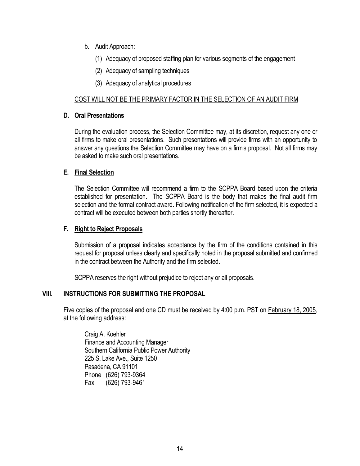- b. Audit Approach:
	- (1) Adequacy of proposed staffing plan for various segments of the engagement
	- (2) Adequacy of sampling techniques
	- (3) Adequacy of analytical procedures

#### COST WILL NOT BE THE PRIMARY FACTOR IN THE SELECTION OF AN AUDIT FIRM

#### **D. Oral Presentations**

During the evaluation process, the Selection Committee may, at its discretion, request any one or all firms to make oral presentations. Such presentations will provide firms with an opportunity to answer any questions the Selection Committee may have on a firm's proposal. Not all firms may be asked to make such oral presentations.

#### **E. Final Selection**

The Selection Committee will recommend a firm to the SCPPA Board based upon the criteria established for presentation. The SCPPA Board is the body that makes the final audit firm selection and the formal contract award. Following notification of the firm selected, it is expected a contract will be executed between both parties shortly thereafter.

#### **F. Right to Reject Proposals**

Submission of a proposal indicates acceptance by the firm of the conditions contained in this request for proposal unless clearly and specifically noted in the proposal submitted and confirmed in the contract between the Authority and the firm selected.

SCPPA reserves the right without prejudice to reject any or all proposals.

#### **VIII. INSTRUCTIONS FOR SUBMITTING THE PROPOSAL**

Five copies of the proposal and one CD must be received by 4:00 p.m. PST on February 18, 2005, at the following address:

Craig A. Koehler Finance and Accounting Manager Southern California Public Power Authority 225 S. Lake Ave., Suite 1250 Pasadena, CA 91101 Phone (626) 793-9364 Fax (626) 793-9461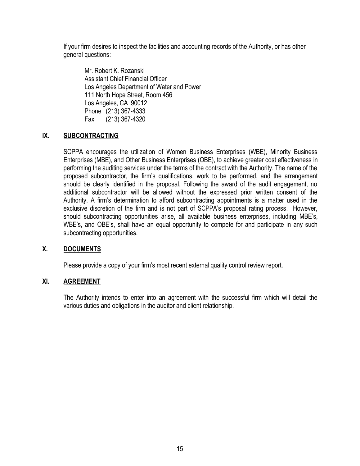If your firm desires to inspect the facilities and accounting records of the Authority, or has other general questions:

Mr. Robert K. Rozanski Assistant Chief Financial Officer Los Angeles Department of Water and Power 111 North Hope Street, Room 456 Los Angeles, CA 90012 Phone (213) 367-4333 Fax (213) 367-4320

#### **IX. SUBCONTRACTING**

SCPPA encourages the utilization of Women Business Enterprises (WBE), Minority Business Enterprises (MBE), and Other Business Enterprises (OBE), to achieve greater cost effectiveness in performing the auditing services under the terms of the contract with the Authority. The name of the proposed subcontractor, the firm's qualifications, work to be performed, and the arrangement should be clearly identified in the proposal. Following the award of the audit engagement, no additional subcontractor will be allowed without the expressed prior written consent of the Authority. A firm's determination to afford subcontracting appointments is a matter used in the exclusive discretion of the firm and is not part of SCPPA's proposal rating process. However, should subcontracting opportunities arise, all available business enterprises, including MBE's, WBE's, and OBE's, shall have an equal opportunity to compete for and participate in any such subcontracting opportunities.

#### **X. DOCUMENTS**

Please provide a copy of your firm's most recent external quality control review report.

#### **XI. AGREEMENT**

The Authority intends to enter into an agreement with the successful firm which will detail the various duties and obligations in the auditor and client relationship.